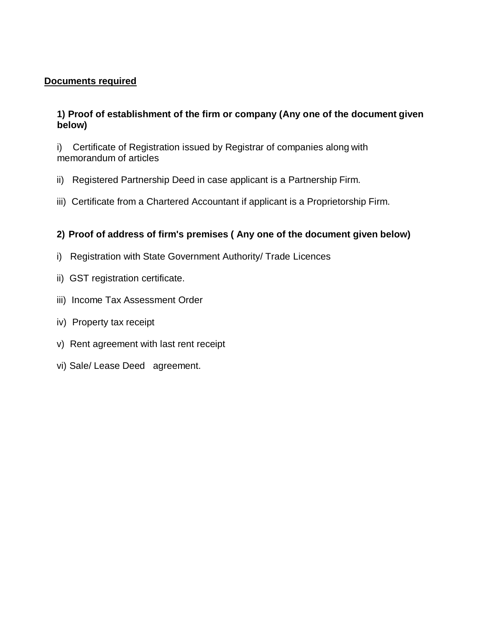## **Documents required**

## **1) Proof of establishment of the firm or company (Any one of the document given below)**

i) Certificate of Registration issued by Registrar of companies along with memorandum of articles

- ii) Registered Partnership Deed in case applicant is a Partnership Firm.
- iii) Certificate from a Chartered Accountant if applicant is a Proprietorship Firm.

## **2) Proof of address of firm's premises ( Any one of the document given below)**

- i) Registration with State Government Authority/ Trade Licences
- ii) GST registration certificate.
- iii) Income Tax Assessment Order
- iv) Property tax receipt
- v) Rent agreement with last rent receipt
- vi) Sale/ Lease Deed agreement.